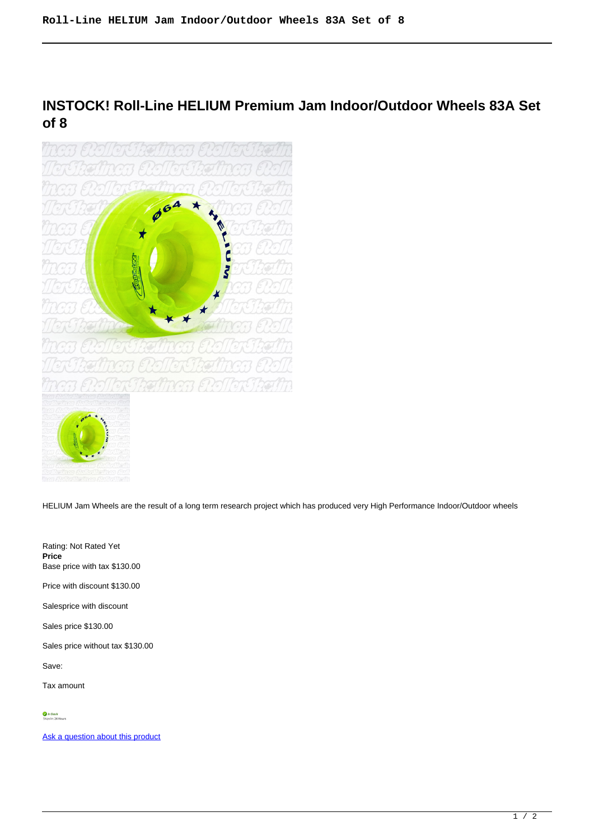**INSTOCK! Roll-Line HELIUM Premium Jam Indoor/Outdoor Wheels 83A Set of 8**



HELIUM Jam Wheels are the result of a long term research project which has produced very High Performance Indoor/Outdoor wheels

Rating: Not Rated Yet **Price**  Base price with tax \$130.00 Price with discount \$130.00 Salesprice with discount Sales price \$130.00 Sales price without tax \$130.00 Save: Tax amount

[Ask a question about this product](https://rollerskatin.ca/index.php?option=com_virtuemart&view=productdetails&task=askquestion&virtuemart_product_id=747&virtuemart_category_id=29&tmpl=component)